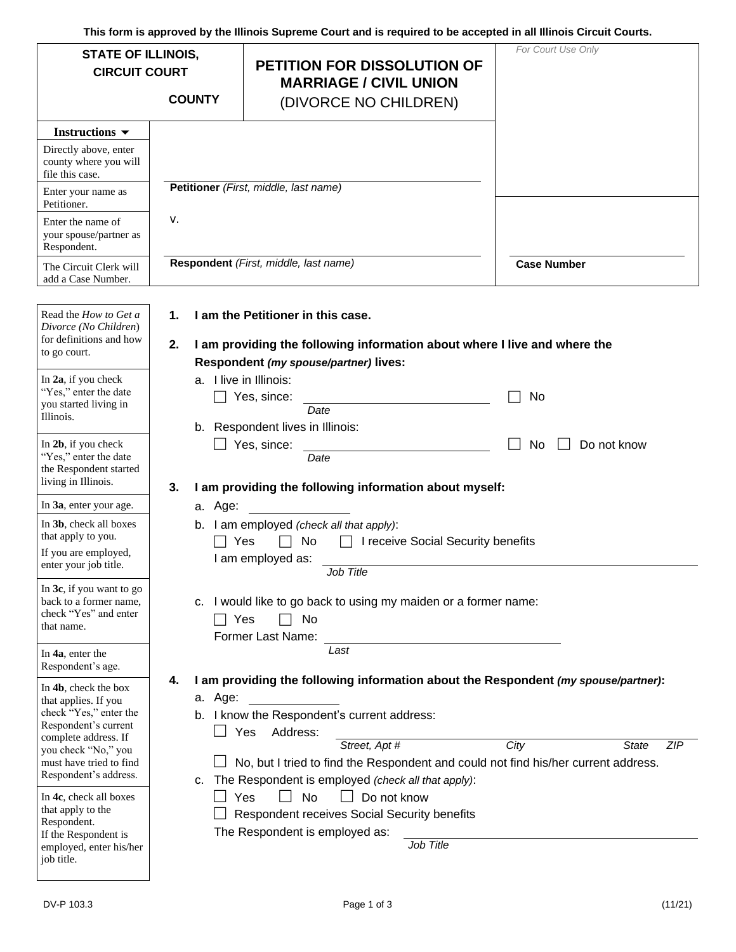**This form is approved by the Illinois Supreme Court and is required to be accepted in all Illinois Circuit Courts.** 

| <b>STATE OF ILLINOIS,</b><br><b>CIRCUIT COURT</b><br><b>COUNTY</b>                                                                                                                                                                                              |                                                                                                                                                                                                                                                                                                                                                                      | <b>PETITION FOR DISSOLUTION OF</b><br><b>MARRIAGE / CIVIL UNION</b><br>(DIVORCE NO CHILDREN)                                                                                                                                                                                                                                                                                                                                       | For Court Use Only                 |  |  |
|-----------------------------------------------------------------------------------------------------------------------------------------------------------------------------------------------------------------------------------------------------------------|----------------------------------------------------------------------------------------------------------------------------------------------------------------------------------------------------------------------------------------------------------------------------------------------------------------------------------------------------------------------|------------------------------------------------------------------------------------------------------------------------------------------------------------------------------------------------------------------------------------------------------------------------------------------------------------------------------------------------------------------------------------------------------------------------------------|------------------------------------|--|--|
| Instructions $\blacktriangledown$<br>Directly above, enter<br>county where you will<br>file this case.                                                                                                                                                          |                                                                                                                                                                                                                                                                                                                                                                      |                                                                                                                                                                                                                                                                                                                                                                                                                                    |                                    |  |  |
| Enter your name as<br>Petitioner.                                                                                                                                                                                                                               | ν.                                                                                                                                                                                                                                                                                                                                                                   | Petitioner (First, middle, last name)                                                                                                                                                                                                                                                                                                                                                                                              |                                    |  |  |
| Enter the name of<br>your spouse/partner as<br>Respondent.                                                                                                                                                                                                      |                                                                                                                                                                                                                                                                                                                                                                      |                                                                                                                                                                                                                                                                                                                                                                                                                                    |                                    |  |  |
| The Circuit Clerk will<br>add a Case Number.                                                                                                                                                                                                                    | Respondent (First, middle, last name)<br><b>Case Number</b>                                                                                                                                                                                                                                                                                                          |                                                                                                                                                                                                                                                                                                                                                                                                                                    |                                    |  |  |
| Read the How to Get a<br>Divorce (No Children)<br>for definitions and how<br>to go court.                                                                                                                                                                       | $\mathbf 1$ .<br>2.                                                                                                                                                                                                                                                                                                                                                  | I am the Petitioner in this case.<br>I am providing the following information about where I live and where the<br>Respondent (my spouse/partner) lives:                                                                                                                                                                                                                                                                            |                                    |  |  |
| In 2a, if you check<br>"Yes," enter the date<br>you started living in<br>Illinois.                                                                                                                                                                              |                                                                                                                                                                                                                                                                                                                                                                      | a. I live in Illinois:<br>Yes, since:<br>Date<br>b. Respondent lives in Illinois:                                                                                                                                                                                                                                                                                                                                                  | No                                 |  |  |
| In 2b, if you check<br>"Yes," enter the date<br>the Respondent started<br>living in Illinois.                                                                                                                                                                   | Do not know<br>Yes, since:<br>No<br>Date<br>I am providing the following information about myself:<br>3.<br>a. Age:<br>b. I am employed (check all that apply):<br>Yes<br>No<br>I receive Social Security benefits<br>I am employed as:<br>Job Title<br>I would like to go back to using my maiden or a former name:<br>C.<br>Yes<br>No<br>Former Last Name:<br>Last |                                                                                                                                                                                                                                                                                                                                                                                                                                    |                                    |  |  |
| In 3a, enter your age.                                                                                                                                                                                                                                          |                                                                                                                                                                                                                                                                                                                                                                      |                                                                                                                                                                                                                                                                                                                                                                                                                                    |                                    |  |  |
| In 3b, check all boxes<br>that apply to you.<br>If you are employed,<br>enter your job title.                                                                                                                                                                   |                                                                                                                                                                                                                                                                                                                                                                      |                                                                                                                                                                                                                                                                                                                                                                                                                                    |                                    |  |  |
| In $3c$ , if you want to go<br>back to a former name,<br>check "Yes" and enter<br>that name.<br>In 4a, enter the                                                                                                                                                |                                                                                                                                                                                                                                                                                                                                                                      |                                                                                                                                                                                                                                                                                                                                                                                                                                    |                                    |  |  |
| Respondent's age.                                                                                                                                                                                                                                               |                                                                                                                                                                                                                                                                                                                                                                      |                                                                                                                                                                                                                                                                                                                                                                                                                                    |                                    |  |  |
| In 4b, check the box<br>that applies. If you<br>check "Yes," enter the<br>Respondent's current<br>complete address. If<br>you check "No," you<br>must have tried to find<br>Respondent's address.<br>In 4c, check all boxes<br>that apply to the<br>Respondent. | 4.<br>a. Age:                                                                                                                                                                                                                                                                                                                                                        | I am providing the following information about the Respondent (my spouse/partner):<br>b. I know the Respondent's current address:<br>Address:<br>Yes<br>Street, Apt #<br>No, but I tried to find the Respondent and could not find his/her current address.<br>c. The Respondent is employed (check all that apply):<br>No<br>Do not know<br>Yes<br>Respondent receives Social Security benefits<br>The Respondent is employed as: | City<br><b>ZIP</b><br><b>State</b> |  |  |
| If the Respondent is<br>employed, enter his/her<br>job title.                                                                                                                                                                                                   |                                                                                                                                                                                                                                                                                                                                                                      | Job Title                                                                                                                                                                                                                                                                                                                                                                                                                          |                                    |  |  |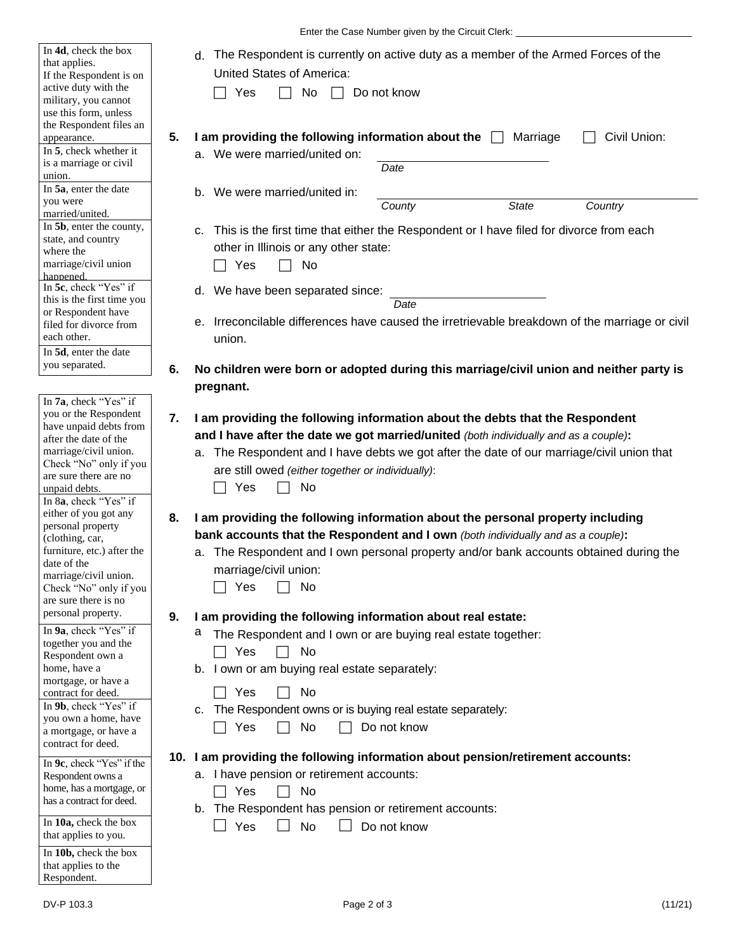| In 4d, check the box<br>that applies.<br>If the Respondent is on<br>active duty with the<br>military, you cannot<br>use this form, unless<br>the Respondent files an<br>appearance.<br>In 5, check whether it<br>is a marriage or civil<br>union.                                                                                                                                                                | The Respondent is currently on active duty as a member of the Armed Forces of the<br>d.<br><b>United States of America:</b><br>No<br>Do not know<br>Yes<br>5.<br>I am providing the following information about the $\Box$<br>Civil Union:<br>Marriage<br>a. We were married/united on:<br>Date                                                                                                                                                                                                                                                                                                                                                                    |
|------------------------------------------------------------------------------------------------------------------------------------------------------------------------------------------------------------------------------------------------------------------------------------------------------------------------------------------------------------------------------------------------------------------|--------------------------------------------------------------------------------------------------------------------------------------------------------------------------------------------------------------------------------------------------------------------------------------------------------------------------------------------------------------------------------------------------------------------------------------------------------------------------------------------------------------------------------------------------------------------------------------------------------------------------------------------------------------------|
| In 5a, enter the date<br>you were                                                                                                                                                                                                                                                                                                                                                                                | b. We were married/united in:                                                                                                                                                                                                                                                                                                                                                                                                                                                                                                                                                                                                                                      |
| married/united.<br>In 5b, enter the county,<br>state, and country<br>where the<br>marriage/civil union<br>happened.<br>In 5c, check "Yes" if<br>this is the first time you<br>or Respondent have<br>filed for divorce from<br>each other.<br>In 5d, enter the date                                                                                                                                               | <b>State</b><br>Country<br>County<br>c. This is the first time that either the Respondent or I have filed for divorce from each<br>other in Illinois or any other state:<br>Yes<br>No<br>d. We have been separated since:<br>Date<br>e. Irreconcilable differences have caused the irretrievable breakdown of the marriage or civil<br>union.                                                                                                                                                                                                                                                                                                                      |
| you separated.                                                                                                                                                                                                                                                                                                                                                                                                   | 6.<br>No children were born or adopted during this marriage/civil union and neither party is                                                                                                                                                                                                                                                                                                                                                                                                                                                                                                                                                                       |
| In 7a, check "Yes" if<br>you or the Respondent<br>have unpaid debts from<br>after the date of the<br>marriage/civil union.<br>Check "No" only if you<br>are sure there are no<br>unpaid debts.<br>In 8a, check "Yes" if<br>either of you got any<br>personal property<br>(clothing, car,<br>furniture, etc.) after the<br>date of the<br>marriage/civil union.<br>Check "No" only if you<br>are sure there is no | pregnant.<br>I am providing the following information about the debts that the Respondent<br>7.<br>and I have after the date we got married/united (both individually and as a couple):<br>a. The Respondent and I have debts we got after the date of our marriage/civil union that<br>are still owed (either together or individually):<br>Yes<br>No<br>I am providing the following information about the personal property including<br>8.<br>bank accounts that the Respondent and I own (both individually and as a couple):<br>a. The Respondent and I own personal property and/or bank accounts obtained during the<br>marriage/civil union:<br>No<br>Yes |
| personal property.<br>In 9a, check "Yes" if<br>together you and the<br>Respondent own a<br>home, have a<br>mortgage, or have a<br>contract for deed.<br>In 9b, check "Yes" if<br>you own a home, have<br>a mortgage, or have a<br>contract for deed.<br>In 9c, check "Yes" if the                                                                                                                                | 9.<br>I am providing the following information about real estate:<br>a<br>The Respondent and I own or are buying real estate together:<br>Yes<br>No<br>b. I own or am buying real estate separately:<br>Yes<br>No<br>c. The Respondent owns or is buying real estate separately:<br>Yes<br>No<br>Do not know<br>10. I am providing the following information about pension/retirement accounts:                                                                                                                                                                                                                                                                    |
| Respondent owns a<br>home, has a mortgage, or                                                                                                                                                                                                                                                                                                                                                                    | a. I have pension or retirement accounts:                                                                                                                                                                                                                                                                                                                                                                                                                                                                                                                                                                                                                          |
| has a contract for deed.                                                                                                                                                                                                                                                                                                                                                                                         | Yes<br>No<br>b. The Respondent has pension or retirement accounts:                                                                                                                                                                                                                                                                                                                                                                                                                                                                                                                                                                                                 |
| In 10a, check the box<br>that applies to you.                                                                                                                                                                                                                                                                                                                                                                    | Yes<br><b>No</b><br>Do not know                                                                                                                                                                                                                                                                                                                                                                                                                                                                                                                                                                                                                                    |
| In 10b, check the box<br>that applies to the<br>Respondent.                                                                                                                                                                                                                                                                                                                                                      |                                                                                                                                                                                                                                                                                                                                                                                                                                                                                                                                                                                                                                                                    |

Enter the Case Number given by the Circuit Clerk: \_\_\_\_\_\_\_\_\_\_\_\_\_\_\_\_\_\_\_\_\_\_\_\_\_\_\_\_\_\_